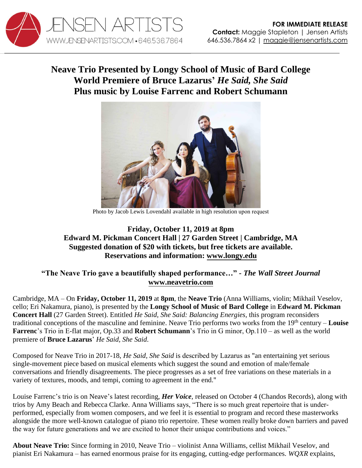

## **Neave Trio Presented by Longy School of Music of Bard College World Premiere of Bruce Lazarus'** *He Said, She Said* **Plus music by Louise Farrenc and Robert Schumann**



Photo by Jacob Lewis Lovendahl available in high resolution [upon request](http://www.jensenartists.com/neave-trio)

## **Friday, October 11, 2019 at 8pm Edward M. Pickman Concert Hall | 27 Garden Street | Cambridge, MA Suggested donation of \$20 with tickets, but free tickets are available. Reservations and information: [www.longy.edu](https://longy.edu/about/events/neave-trio-he-said-she-said-balancing-energies-longy-alumni-artistsfaculty-ensemble-residence/)**

## **"The Neave Trio gave a beautifully shaped performance…"** *- The Wall Street Journal* **[www.neavetrio.com](http://www.neavetrio.com/)**

Cambridge, MA – On **Friday, October 11, 2019** at **8pm**, the **Neave Trio** (Anna Williams, violin; Mikhail Veselov, cello; Eri Nakamura, piano), is presented by the **Longy School of Music of Bard College** in **Edward M. Pickman Concert Hall** (27 Garden Street). Entitled *He Said, She Said: Balancing Energies,* this program reconsiders traditional conceptions of the masculine and feminine. Neave Trio performs two works from the 19th century – **Louise Farrenc**'s Trio in E-flat major, Op.33 and **Robert Schumann**'s Trio in G minor, Op.110 – as well as the world premiere of **Bruce Lazarus**' *He Said, She Said*.

Composed for Neave Trio in 2017-18, *He Said, She Said* is described by Lazarus as "an entertaining yet serious single-movement piece based on musical elements which suggest the sound and emotion of male/female conversations and friendly disagreements. The piece progresses as a set of free variations on these materials in a variety of textures, moods, and tempi, coming to agreement in the end."

Louise Farrenc's trio is on Neave's latest recording, *Her Voice*, released on October 4 (Chandos Records), along with trios by Amy Beach and Rebecca Clarke. Anna Williams says, "There is so much great repertoire that is underperformed, especially from women composers, and we feel it is essential to program and record these masterworks alongside the more well-known catalogue of piano trio repertoire. These women really broke down barriers and paved the way for future generations and we are excited to honor their unique contributions and voices."

**About Neave Trio:** Since forming in 2010, Neave Trio – violinist Anna Williams, cellist Mikhail Veselov, and pianist Eri Nakamura – has earned enormous praise for its engaging, cutting-edge performances. *WQXR* explains,